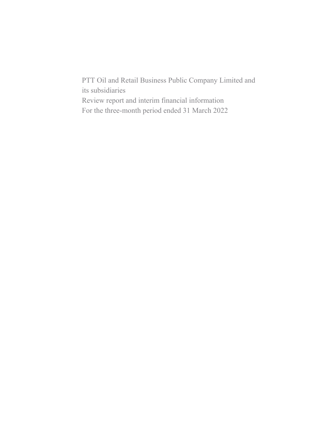PTT Oil and Retail Business Public Company Limited and its subsidiaries Review report and interim financial information For the three-month period ended 31 March 2022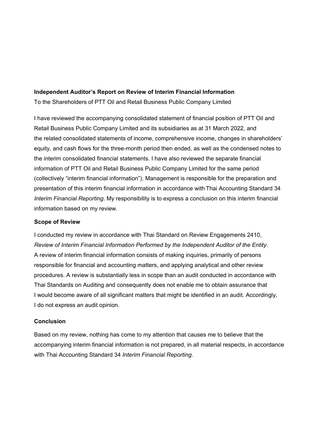### **Independent Auditor's Report on Review of Interim Financial Information**

To the Shareholders of PTT Oil and Retail Business Public Company Limited

I have reviewed the accompanying consolidated statement of financial position of PTT Oil and Retail Business Public Company Limited and its subsidiaries as at 31 March 2022, and the related consolidated statements of income, comprehensive income, changes in shareholders' equity, and cash flows for the three-month period then ended, as well as the condensed notes to the interim consolidated financial statements. I have also reviewed the separate financial information of PTT Oil and Retail Business Public Company Limited for the same period (collectively "interim financial information"). Management is responsible for the preparation and presentation of this interim financial information in accordance with Thai Accounting Standard 34 *Interim Financial Reporting*. My responsibility is to express a conclusion on this interim financial information based on my review.

## **Scope of Review**

I conducted my review in accordance with Thai Standard on Review Engagements 2410, *Review of Interim Financial Information Performed by the Independent Auditor of the Entity*. A review of interim financial information consists of making inquiries, primarily of persons responsible for financial and accounting matters, and applying analytical and other review procedures. A review is substantially less in scope than an audit conducted in accordance with Thai Standards on Auditing and consequently does not enable me to obtain assurance that I would become aware of all significant matters that might be identified in an audit. Accordingly, I do not express an audit opinion.

### **Conclusion**

Based on my review, nothing has come to my attention that causes me to believe that the accompanying interim financial information is not prepared, in all material respects, in accordance with Thai Accounting Standard 34 *Interim Financial Reporting*.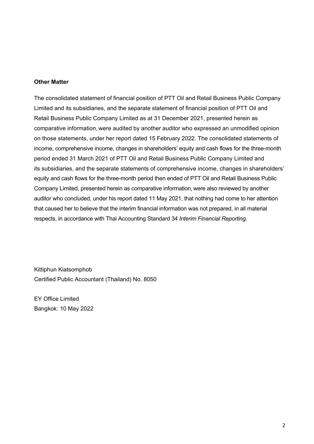### **Other Matter**

The consolidated statement of financial position of PTT Oil and Retail Business Public Company Limited and its subsidiaries, and the separate statement of financial position of PTT Oil and Retail Business Public Company Limited as at 31 December 2021, presented herein as comparative information, were audited by another auditor who expressed an unmodified opinion on those statements, under her report dated 15 February 2022. The consolidated statements of income, comprehensive income, changes in shareholders' equity and cash flows for the three-month period ended 31 March 2021 of PTT Oil and Retail Business Public Company Limited and its subsidiaries, and the separate statements of comprehensive income, changes in shareholders' equity and cash flows for the three-month period then ended of PTT Oil and Retail Business Public Company Limited, presented herein as comparative information, were also reviewed by another auditor who concluded, under his report dated 11 May 2021, that nothing had come to her attention that caused her to believe that the interim financial information was not prepared, in all material respects, in accordance with Thai Accounting Standard 34 *Interim Financial Reporting*.

Kittiphun Kiatsomphob Certified Public Accountant (Thailand) No. 8050

EY Office Limited Bangkok: 10 May 2022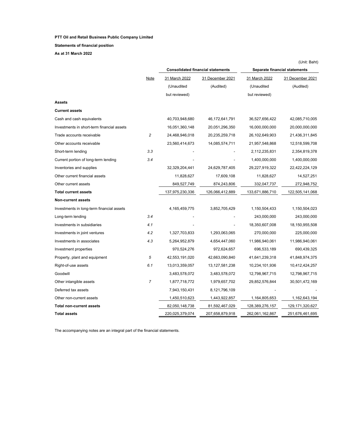**Statements of financial position**

**As at 31 March 2022**

|                                            |                         |                 | <b>Consolidated financial statements</b> | <b>Separate financial statements</b> |                    |  |
|--------------------------------------------|-------------------------|-----------------|------------------------------------------|--------------------------------------|--------------------|--|
|                                            | Note                    | 31 March 2022   | 31 December 2021                         | 31 March 2022                        | 31 December 2021   |  |
|                                            |                         | (Unaudited      | (Audited)                                | (Unaudited                           | (Audited)          |  |
|                                            |                         | but reviewed)   |                                          | but reviewed)                        |                    |  |
| Assets                                     |                         |                 |                                          |                                      |                    |  |
| Current assets                             |                         |                 |                                          |                                      |                    |  |
| Cash and cash equivalents                  |                         | 40,703,948,680  | 46,172,641,791                           | 36,527,656,422                       | 42,085,710,005     |  |
| Investments in short-term financial assets |                         | 16,051,360,148  | 20,051,296,350                           | 16,000,000,000                       | 20,000,000,000     |  |
| Trade accounts receivable                  | $\overline{\mathbf{c}}$ | 24,468,946,018  | 20,235,259,718                           | 26,102,649,903                       | 21,436,311,845     |  |
| Other accounts receivable                  |                         | 23,560,414,673  | 14,085,574,711                           | 21,957,548,868                       | 12,518,599,708     |  |
| Short-term lending                         | 3.3                     |                 |                                          | 2,112,235,831                        | 2,354,819,378      |  |
| Current portion of long-term lending       | 3.4                     |                 |                                          | 1,400,000,000                        | 1,400,000,000      |  |
| Inventories and supplies                   |                         | 32,329,204,441  | 24,629,787,405                           | 29,227,919,322                       | 22,422,224,129     |  |
| Other current financial assets             |                         | 11,828,627      | 17,609,108                               | 11,828,627                           | 14,527,251         |  |
| Other current assets                       |                         | 849,527,749     | 874,243,806                              | 332,047,737                          | 272,948,752        |  |
| <b>Total current assets</b>                |                         | 137,975,230,336 | 126,066,412,889                          | 133,671,886,710                      | 122,505,141,068    |  |
| <b>Non-current assets</b>                  |                         |                 |                                          |                                      |                    |  |
| Investments in long-term financial assets  |                         | 4,165,459,775   | 3,852,705,429                            | 1,150,504,433                        | 1,150,504,023      |  |
| Long-term lending                          | 3.4                     |                 |                                          | 243,000,000                          | 243,000,000        |  |
| Investments in subsidiaries                | 4.1                     |                 |                                          | 18,350,607,008                       | 18,150,955,508     |  |
| Investments in joint ventures              | 4.2                     | 1,327,703,833   | 1,293,063,065                            | 270,000,000                          | 225,000,000        |  |
| Investments in associates                  | 4.3                     | 5,264,952,879   | 4,654,447,060                            | 11,986,940,061                       | 11,986,940,061     |  |
| Investment properties                      |                         | 970,524,276     | 972,624,657                              | 696,533,189                          | 690,439,325        |  |
| Property, plant and equipment              | 5                       | 42,553,191,020  | 42,663,090,840                           | 41,641,239,318                       | 41,848,974,375     |  |
| Right-of-use assets                        | 6.1                     | 13,013,359,057  | 13, 127, 581, 238                        | 10,234,101,936                       | 10,412,424,257     |  |
| Goodwill                                   |                         | 3,483,578,072   | 3,483,578,072                            | 12,798,967,715                       | 12,798,967,715     |  |
| Other intangible assets                    | 7                       | 1,877,718,772   | 1,979,657,702                            | 29,852,576,844                       | 30,501,472,169     |  |
| Deferred tax assets                        |                         | 7,943,150,431   | 8,121,796,109                            |                                      |                    |  |
| Other non-current assets                   |                         | 1,450,510,623   | 1,443,922,857                            | 1,164,805,653                        | 1,162,643,194      |  |
| <b>Total non-current assets</b>            |                         | 82,050,148,738  | 81,592,467,029                           | 128,389,276,157                      | 129, 171, 320, 627 |  |
| <b>Total assets</b>                        |                         | 220,025,379,074 | 207,658,879,918                          | 262,061,162,867                      | 251,676,461,695    |  |

The accompanying notes are an integral part of the financial statements.

(Unit: Baht)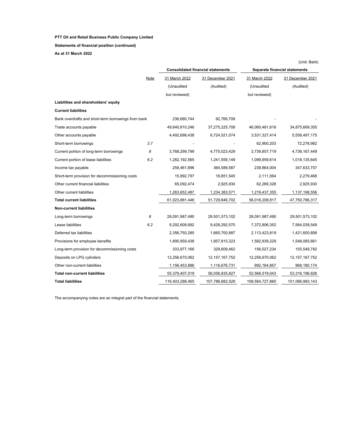### **Statements of financial position (continued)**

**As at 31 March 2022**

|                                                     |             |                 |                                          |                 | (Unit: Baht)                  |
|-----------------------------------------------------|-------------|-----------------|------------------------------------------|-----------------|-------------------------------|
|                                                     |             |                 | <b>Consolidated financial statements</b> |                 | Separate financial statements |
|                                                     | <b>Note</b> | 31 March 2022   | 31 December 2021                         | 31 March 2022   | 31 December 2021              |
|                                                     |             | (Unaudited      | (Audited)                                | (Unaudited      | (Audited)                     |
|                                                     |             | but reviewed)   |                                          | but reviewed)   |                               |
| Liabilities and shareholders' equity                |             |                 |                                          |                 |                               |
| <b>Current liabilities</b>                          |             |                 |                                          |                 |                               |
| Bank overdrafts and short-term borrowings from bank |             | 236,680,744     | 92,766,709                               |                 |                               |
| Trade accounts payable                              |             | 49,640,810,246  | 37,275,225,708                           | 46,060,481,616  | 34,875,669,355                |
| Other accounts payable                              |             | 4,492,698,438   | 6,724,521,074                            | 3,531,327,414   | 5,558,497,175                 |
| Short-term borrowings                               | 3.7         |                 |                                          | 62,900,203      | 72,278,982                    |
| Current portion of long-term borrowings             | 8           | 3,768,299,799   | 4,775,023,429                            | 3,739,857,719   | 4,736,167,449                 |
| Current portion of lease liabilities                | 6.2         | 1,282,192,565   | 1,241,559,149                            | 1,099,959,614   | 1,018,135,645                 |
| Income tax payable                                  |             | 258,461,896     | 364,589,587                              | 239,864,004     | 347,633,757                   |
| Short-term provision for decommissioning costs      |             | 15,992,797      | 18,851,545                               | 2,111,564       | 2,279,468                     |
| Other current financial liabilities                 |             | 65,092,474      | 2,925,930                                | 62,269,328      | 2,925,930                     |
| Other current liabilities                           |             | 1,263,652,487   | 1,234,383,571                            | 1,219,437,355   | 1,137,198,556                 |
| <b>Total current liabilities</b>                    |             | 61,023,881,446  | 51,729,846,702                           | 56,018,208,817  | 47,750,786,317                |
| <b>Non-current liabilities</b>                      |             |                 |                                          |                 |                               |
| Long-term borrowings                                | 8           | 28,091,987,490  | 29,501,573,102                           | 28,091,987,490  | 29,501,573,102                |
| Lease liabilities                                   | 6.2         | 9,292,608,692   | 9,428,292,570                            | 7,372,806,352   | 7,564,039,549                 |
| Deferred tax liabilities                            |             | 2,356,750,285   | 1,665,700,887                            | 2,113,423,819   | 1,421,600,806                 |
| Provisions for employee benefits                    |             | 1,890,959,438   | 1,857,815,323                            | 1,582,939,229   | 1,548,085,661                 |
| Long-term provision for decommissioning costs       |             | 333,977,166     | 329,609,462                              | 156,527,234     | 155,549,782                   |
| Deposits on LPG cylinders                           |             | 12,256,670,062  | 12, 157, 167, 752                        | 12,256,670,062  | 12, 157, 167, 752             |
| Other non-current liabilities                       |             | 1,156,453,886   | 1,116,676,731                            | 992,164,857     | 968,180,174                   |
| <b>Total non-current liabilities</b>                |             | 55,379,407,019  | 56,056,835,827                           | 52,566,519,043  | 53,316,196,826                |
| Total liabilities                                   |             | 116,403,288,465 | 107,786,682,529                          | 108,584,727,860 | 101,066,983,143               |

The accompanying notes are an integral part of the financial statements.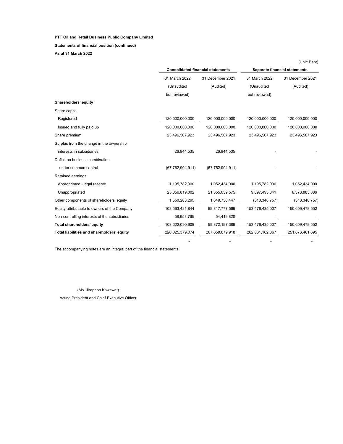### **Statements of financial position (continued)**

**As at 31 March 2022**

|                                               |                                          |                     |                               | (Unit: Baht)     |  |
|-----------------------------------------------|------------------------------------------|---------------------|-------------------------------|------------------|--|
|                                               | <b>Consolidated financial statements</b> |                     | Separate financial statements |                  |  |
|                                               | 31 March 2022                            | 31 December 2021    | 31 March 2022                 | 31 December 2021 |  |
|                                               | (Unaudited                               | (Audited)           | (Unaudited                    | (Audited)        |  |
|                                               | but reviewed)                            |                     | but reviewed)                 |                  |  |
| Shareholders' equity                          |                                          |                     |                               |                  |  |
| Share capital                                 |                                          |                     |                               |                  |  |
| Registered                                    | 120,000,000,000                          | 120,000,000,000     | 120,000,000,000               | 120,000,000,000  |  |
| Issued and fully paid up                      | 120,000,000,000                          | 120,000,000,000     | 120,000,000,000               | 120,000,000,000  |  |
| Share premium                                 | 23,496,507,923                           | 23,496,507,923      | 23,496,507,923                | 23,496,507,923   |  |
| Surplus from the change in the ownership      |                                          |                     |                               |                  |  |
| interests in subsidiaries                     | 26,944,535                               | 26,944,535          |                               |                  |  |
| Deficit on business combination               |                                          |                     |                               |                  |  |
| under common control                          | (67, 762, 904, 911)                      | (67, 762, 904, 911) |                               |                  |  |
| Retained earnings                             |                                          |                     |                               |                  |  |
| Appropriated - legal reserve                  | 1,195,782,000                            | 1,052,434,000       | 1,195,782,000                 | 1,052,434,000    |  |
| Unappropriated                                | 25,056,819,002                           | 21,355,059,575      | 9,097,493,841                 | 6,373,885,386    |  |
| Other components of shareholders' equity      | 1,550,283,295                            | 1,649,736,447       | (313, 348, 757)               | (313, 348, 757)  |  |
| Equity attributable to owners of the Company  | 103,563,431,844                          | 99,817,777,569      | 153,476,435,007               | 150,609,478,552  |  |
| Non-controlling interests of the subsidiaries | 58,658,765                               | 54,419,820          |                               |                  |  |
| <b>Total shareholders' equity</b>             | 103,622,090,609                          | 99,872,197,389      | 153,476,435,007               | 150,609,478,552  |  |
| Total liabilities and shareholders' equity    | 220,025,379,074                          | 207,658,879,918     | 262,061,162,867               | 251,676,461,695  |  |

- - - -

The accompanying notes are an integral part of the financial statements.

(Ms. Jiraphon Kawswat)

Acting President and Chief Executive Officer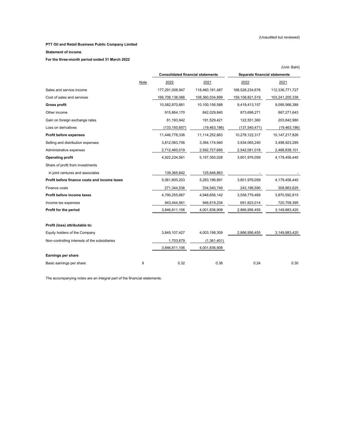### (Unaudited but reviewed)

### **PTT Oil and Retail Business Public Company Limited**

### **Statement of income**

**For the three-month period ended 31 March 2022**

|                                               |      |                                          |                 |                               | (Unit: Baht)    |
|-----------------------------------------------|------|------------------------------------------|-----------------|-------------------------------|-----------------|
|                                               |      | <b>Consolidated financial statements</b> |                 | Separate financial statements |                 |
|                                               | Note | 2022                                     | 2021            | 2022                          | 2021            |
| Sales and service income                      |      | 177,291,008,947                          | 118,460,191,487 | 168,528,234,676               | 112,336,771,727 |
| Cost of sales and services                    |      | 166,708,138,066                          | 108,360,034,899 | 159,108,821,519               | 103,241,205,338 |
| <b>Gross profit</b>                           |      | 10,582,870,881                           | 10,100,156,588  | 9,419,413,157                 | 9,095,566,389   |
| Other income                                  |      | 915,864,170                              | 842,029,840     | 873,698,271                   | 867,271,643     |
| Gain on foreign exchange rates                |      | 81,193,942                               | 191,529,421     | 122,551,360                   | 203,842,980     |
| Loss on derivatives                           |      | (133, 150, 657)                          | (19, 463, 186)  | (137, 540, 471)               | (19, 463, 186)  |
| Profit before expenses                        |      | 11,446,778,336                           | 11,114,252,663  | 10,278,122,317                | 10,147,217,826  |
| Selling and distribution expenses             |      | 3,812,083,756                            | 3,364,174,940   | 3,934,065,240                 | 3,498,923,285   |
| Administrative expenses                       |      | 2,712,460,019                            | 2,592,727,695   | 2,542,081,018                 | 2,468,838,101   |
| <b>Operating profit</b>                       |      | 4,922,234,561                            | 5,157,350,028   | 3,801,976,059                 | 4,179,456,440   |
| Share of profit from investments              |      |                                          |                 |                               |                 |
| in joint ventures and associates              |      | 139,365,642                              | 125,846,863     |                               |                 |
| Profit before finance costs and income taxes  |      | 5,061,600,203                            | 5,283,196,891   | 3,801,976,059                 | 4,179,456,440   |
| Finance costs                                 |      | 271,344,536                              | 334,540,749     | 243,196,590                   | 308,863,625     |
| Profit before income taxes                    |      | 4,790,255,667                            | 4,948,656,142   | 3,558,779,469                 | 3,870,592,815   |
| Income tax expenses                           |      | 943,444,561                              | 946,819,234     | 691,823,014                   | 720,709,395     |
| Profit for the period                         |      | 3,846,811,106                            | 4,001,836,908   | 2,866,956,455                 | 3,149,883,420   |
| Profit (loss) attributable to:                |      |                                          |                 |                               |                 |
| Equity holders of the Company                 |      | 3,845,107,427                            | 4,003,198,309   | 2,866,956,455                 | 3,149,883,420   |
| Non-controlling interests of the subsidiaries |      | 1,703,679                                | (1,361,401)     |                               |                 |
|                                               |      | 3,846,811,106                            | 4,001,836,908   |                               |                 |
| Earnings per share                            |      |                                          |                 |                               |                 |
| Basic earnings per share                      | 9    | 0.32                                     | 0.38            | 0.24                          | 0.30            |

The accompanying notes are an integral part of the financial statements.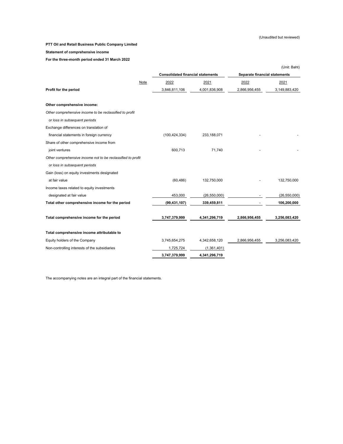### (Unaudited but reviewed)

### **PTT Oil and Retail Business Public Company Limited**

### **Statement of comprehensive income**

**For the three-month period ended 31 March 2022**

|                                                             |                                          |                |                               | (Unit: Baht)   |  |
|-------------------------------------------------------------|------------------------------------------|----------------|-------------------------------|----------------|--|
|                                                             | <b>Consolidated financial statements</b> |                | Separate financial statements |                |  |
| Note                                                        | 2022                                     | 2021           | 2022                          | 2021           |  |
| Profit for the period                                       | 3,846,811,106                            | 4,001,836,908  | 2,866,956,455                 | 3,149,883,420  |  |
| Other comprehensive income:                                 |                                          |                |                               |                |  |
| Other comprehensive income to be reclassified to profit     |                                          |                |                               |                |  |
| or loss in subsequent periods                               |                                          |                |                               |                |  |
| Exchange differences on translation of                      |                                          |                |                               |                |  |
| financial statements in foreign currency                    | (100, 424, 334)                          | 233,188,071    |                               |                |  |
| Share of other comprehensive income from                    |                                          |                |                               |                |  |
| joint ventures                                              | 600,713                                  | 71,740         |                               |                |  |
| Other comprehensive income not to be reclassified to profit |                                          |                |                               |                |  |
| or loss in subsequent periods                               |                                          |                |                               |                |  |
| Gain (loss) on equity investments designated                |                                          |                |                               |                |  |
| at fair value                                               | (60, 486)                                | 132,750,000    |                               | 132,750,000    |  |
| Income taxes related to equity investments                  |                                          |                |                               |                |  |
| designated at fair value                                    | 453,000                                  | (26, 550, 000) |                               | (26, 550, 000) |  |
| Total other comprehensive income for the period             | (99, 431, 107)                           | 339,459,811    |                               | 106,200,000    |  |
| Total comprehensive income for the period                   | 3,747,379,999                            | 4,341,296,719  | 2,866,956,455                 | 3,256,083,420  |  |
| Total comprehensive income attributable to                  |                                          |                |                               |                |  |
| Equity holders of the Company                               | 3,745,654,275                            | 4,342,658,120  | 2,866,956,455                 | 3,256,083,420  |  |
| Non-controlling interests of the subsidiaries               | 1,725,724                                | (1,361,401)    |                               |                |  |
|                                                             | 3,747,379,999                            | 4,341,296,719  |                               |                |  |
|                                                             |                                          |                |                               |                |  |

The accompanying notes are an integral part of the financial statements.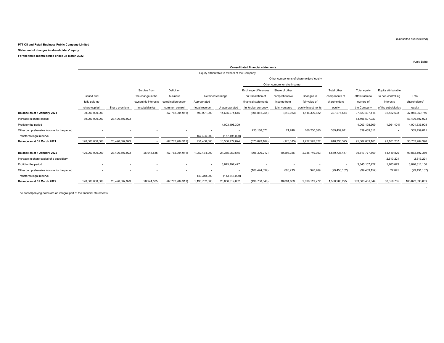#### **Statement of changes in shareholders' equity**

**For the three-month period ended 31 March 2022**

|                                           | <b>Consolidated financial statements</b> |                          |                          |                          |                          |                                              |                          |                                          |                    |                |                 |                     |                 |
|-------------------------------------------|------------------------------------------|--------------------------|--------------------------|--------------------------|--------------------------|----------------------------------------------|--------------------------|------------------------------------------|--------------------|----------------|-----------------|---------------------|-----------------|
|                                           |                                          |                          |                          |                          |                          | Equity attributable to owners of the Company |                          |                                          |                    |                |                 |                     |                 |
|                                           |                                          |                          |                          |                          |                          |                                              |                          | Other components of shareholders' equity |                    |                |                 |                     |                 |
|                                           |                                          |                          |                          |                          |                          |                                              |                          | Other comprehensive income               |                    |                |                 |                     |                 |
|                                           |                                          |                          | Surplus from             | Deficit on               |                          |                                              | Exchange differences     | Share of other                           |                    | Total other    | Total equity    | Equity attributable |                 |
|                                           | Issued and                               |                          | the change in the        | business                 |                          | Retained earnings                            | on translation of        | comprehensive                            | Changes in         | components of  | attributable to | to non-controlling  | Total           |
|                                           | fully paid-up                            |                          | ownership interests      | combination under        | Appropriated             |                                              | financial statements     | income from                              | fair value of      | shareholders'  | owners of       | interests           | shareholders'   |
|                                           | share capital                            | Share premium            | in subsidiaries          | common control           | - legal reserve          | Unappropriated                               | in foreign currency      | joint ventures                           | equity investments | equity         | the Company     | of the subsidiaries | equity          |
| Balance as at 1 January 2021              | 90,000,000,000                           |                          | $\sim$                   | (67, 762, 904, 911)      | 593,991,000              | 14,685,074,515                               | (808, 881, 255)          | (242, 053)                               | 1,116,399,822      | 307,276,514    | 37,823,437,118  | 92,522,638          | 37,915,959,756  |
| Increase in share capital                 | 30,000,000,000                           | 23.496.507.923           |                          | $\overline{\phantom{a}}$ | $\overline{\phantom{a}}$ | $\sim$                                       | $\sim$                   |                                          |                    |                | 53,496,507,923  |                     | 53,496,507,923  |
| Profit for the period                     | $\overline{\phantom{a}}$                 |                          |                          | $\overline{\phantom{a}}$ | $\sim$                   | 4,003,198,309                                |                          |                                          |                    |                | 4,003,198,309   | (1,361,401)         | 4,001,836,908   |
| Other comprehensive income for the period | $\overline{\phantom{a}}$                 | $\overline{\phantom{a}}$ | $\overline{\phantom{a}}$ | $\overline{\phantom{a}}$ | $\sim$                   | $\sim$                                       | 233,188,071              | 71,740                                   | 106,200,000        | 339,459,811    | 339.459.811     | $\sim$              | 339,459,811     |
| Transfer to legal reserve                 | $\sim$                                   | $\overline{\phantom{a}}$ | $\sim$                   | $\overline{\phantom{a}}$ | 157,495,000              | (157, 495, 000)                              | $\overline{\phantom{a}}$ |                                          |                    |                |                 |                     |                 |
| Balance as at 31 March 2021               | 120,000,000,000                          | 23,496,507,923           | $\sim$                   | (67, 762, 904, 911)      | 751,486,000              | 18,530,777,824                               | (575, 693, 184)          | (170, 313)                               | 1,222,599,822      | 646,736,325    | 95,662,603,161  | 91,161,237          | 95,753,764,398  |
|                                           |                                          |                          |                          |                          |                          |                                              |                          |                                          |                    |                |                 |                     |                 |
| Balance as at 1 January 2022              | 120,000,000,000                          | 23,496,507,923           | 26,944,535               | (67, 762, 904, 911)      | 1,052,434,000            | 21,355,059,575                               | (396, 306, 212)          | 10,293,356                               | 2,035,749,303      | 1,649,736,447  | 99,817,777,569  | 54,419,820          | 99,872,197,389  |
| Increase in share capital of a subsidiary |                                          | $\overline{\phantom{a}}$ | $\overline{\phantom{a}}$ |                          |                          |                                              | $\sim$                   |                                          |                    |                |                 | 2,513,221           | 2,513,221       |
| Profit for the period                     |                                          |                          |                          |                          | $\sim$                   | 3,845,107,427                                |                          |                                          |                    |                | 3,845,107,427   | 1,703,679           | 3,846,811,106   |
| Other comprehensive income for the period |                                          |                          |                          | $\sim$                   |                          | $\sim$                                       | (100, 424, 334)          | 600,713                                  | 370,469            | (99, 453, 152) | (99, 453, 152)  | 22,045              | (99, 431, 107)  |
| Transfer to legal reserve                 |                                          |                          |                          |                          | 143,348,000              | (143, 348, 000)                              |                          |                                          |                    |                |                 |                     |                 |
| Balance as at 31 March 2022               | 120,000,000,000                          | 23,496,507,923           | 26,944,535               | (67, 762, 904, 911)      | 1,195,782,000            | 25,056,819,002                               | (496, 730, 546)          | 10,894,069                               | 2,036,119,772      | 1,550,283,295  | 103,563,431,844 | 58,658,765          | 103,622,090,609 |
|                                           |                                          |                          |                          |                          |                          |                                              |                          |                                          |                    |                |                 |                     |                 |

The accompanying notes are an integral part of the financial statements.

(Unaudited but reviewed)

(Unit: Baht)

-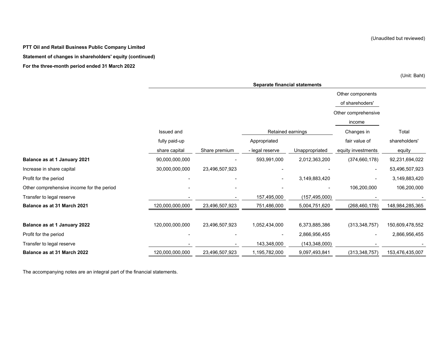Other components of sharehoders' Other comprehensive income Issued and Changes in Total Retained earningsfully paid-up **Appropriated** Appropriated **Appropriated Fair value of shareholders'** by the shareholders' share capital Share premium - legal reserve Unappropriated equity investments equity **Balance as at 1 January 2021** - 90,000,000,000,000,000 593,991,000 593,991,000 59,000,000 59,231,694,022 Increase in share capital 1992-2000,000,000,000,000 23,496,507,923 - - - - - - - - - - - - - 53,496,507,923 Profit for the period - - - 3,149,883,420 - 3,149,883,420 Other comprehensive income for the period **COLOGY CONFERENT CONSUMER -** - - - - - - - - - - - 106,200,000 106,200,000 Transfer to legal reserve **- 157,495,000** - - 157,495,000 (157,495,000) -**Balance as at 31 March 2021** 23,498,305 23,496,507,923 23,496,507,923 23,496,000 5,004,751,620 268,460,178) 148,984,285,365 **Balance as at 1 January 2022** 23,496,000,000,000 23,496,507,923 1,052,434,000 6,373,885,386 (313,348,757) 150,609,478,552 Profit for the period - - - 2,866,956,455 - 2,866,956,455 Transfer to legal reserve that the state of the state of the state of the state of the state of the state of the state of the state of the state of the state of the state of the state of the state of the state of the state **Balance as at 31 March 2022** 23,496,507,923 120,000,000,000 1,195,782,000 9,097,493,841 (313,348,757) 153,476,435,007 **Separate financial statements**

The accompanying notes are an integral part of the financial statements.

(Unit: Baht)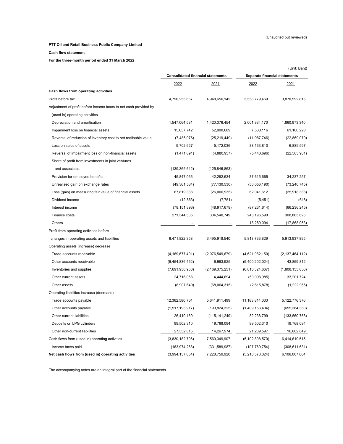**Cash flow statement**

**For the three-month period ended 31 March 2022**

|                                                                  |                                          |                    |                    | (Unit: Baht)                  |  |  |
|------------------------------------------------------------------|------------------------------------------|--------------------|--------------------|-------------------------------|--|--|
|                                                                  | <b>Consolidated financial statements</b> |                    |                    | Separate financial statements |  |  |
|                                                                  | 2022                                     | 2021               | 2022               | 2021                          |  |  |
| Cash flows from operating activities                             |                                          |                    |                    |                               |  |  |
| Profit before tax                                                | 4,790,255,667                            | 4,948,656,142      | 3,558,779,469      | 3,870,592,815                 |  |  |
| Adjustment of profit before income taxes to net cash provided by |                                          |                    |                    |                               |  |  |
| (used in) operating activities                                   |                                          |                    |                    |                               |  |  |
| Depreciation and amortisation                                    | 1,547,064,581                            | 1,420,376,454      | 2,001,934,170      | 1,860,973,340                 |  |  |
| Impairment loss on financial assets                              | 15,637,742                               | 52,900,689         | 7,538,116          | 61,100,290                    |  |  |
| Reversal of reduction of inventory cost to net realisable value  | (7,486,076)                              | (25, 219, 449)     | (11,087,746)       | (22,869,079)                  |  |  |
| Loss on sales of assets                                          | 9,702,627                                | 5,172,036          | 38,163,810         | 6,889,597                     |  |  |
| Reversal of impairment loss on non-financial assets              | (1,471,691)                              | (4,880,957)        | (5,443,696)        | (22, 585, 901)                |  |  |
| Share of profit from investments in joint ventures               |                                          |                    |                    |                               |  |  |
| and associates                                                   | (139, 365, 642)                          | (125, 846, 863)    |                    |                               |  |  |
| Provision for employee benefits                                  | 45,847,066                               | 42,282,634         | 37,615,665         | 34,237,257                    |  |  |
| Unrealised gain on exchange rates                                | (49, 361, 584)                           | (77, 130, 530)     | (50,056,190)       | (73, 240, 745)                |  |  |
| Loss (gain) on measuring fair value of financial assets          | 67,819,388                               | (26,006,935)       | 62,041,612         | (25,918,388)                  |  |  |
| Dividend income                                                  | (12, 863)                                | (7, 751)           | (5, 451)           | (618)                         |  |  |
| Interest income                                                  | (78, 151, 393)                           | (48, 917, 679)     | (87, 231, 614)     | (66, 236, 245)                |  |  |
| Finance costs                                                    | 271,344,536                              | 334,540,749        | 243,196,590        | 308,863,625                   |  |  |
| Others                                                           |                                          |                    | 18,289,094         | (17,868,053)                  |  |  |
| Profit from operating activities before                          |                                          |                    |                    |                               |  |  |
| changes in operating assets and liabilities                      | 6,471,822,358                            | 6,495,918,540      | 5,813,733,829      | 5,913,937,895                 |  |  |
| Operating assets (increase) decrease                             |                                          |                    |                    |                               |  |  |
| Trade accounts receivable                                        | (4, 169, 677, 491)                       | (2,076,549,679)    | (4,621,982,150)    | (2, 137, 464, 112)            |  |  |
| Other accounts receivable                                        | (9,454,836,462)                          | 6,993,925          | (9,400,202,024)    | 43,859,812                    |  |  |
| Inventories and supplies                                         | (7,691,930,960)                          | (2, 169, 375, 251) | (6,810,324,667)    | (1,808,155,030)               |  |  |
| Other current assets                                             | 24,716,058                               | 4,444,694          | (59,098,985)       | 33,201,724                    |  |  |
| Other assets                                                     | (8,907,640)                              | (68,064,315)       | (2,615,878)        | (1,222,955)                   |  |  |
| Operating liabilities increase (decrease)                        |                                          |                    |                    |                               |  |  |
| Trade accounts payable                                           | 12,362,580,764                           | 5,641,911,499      | 11,183,814,033     | 5,122,776,376                 |  |  |
| Other accounts payable                                           | (1,517,193,917)                          | (193, 824, 325)    | (1,409,163,434)    | (655, 384, 380)               |  |  |
| Other current liabilities                                        | 26,410,169                               | (115, 141, 249)    | 82,238,799         | (133, 560, 758)               |  |  |
| Deposits on LPG cylinders                                        | 99,502,310                               | 19,768,094         | 99,502,310         | 19,768,094                    |  |  |
| Other non-current liabilities                                    | 27,332,015                               | 14,267,974         | 21,289,597         | 16,862,849                    |  |  |
| Cash flows from (used in) operating activities                   | (3,830,182,796)                          | 7,560,349,907      | (5, 102, 808, 570) | 6,414,619,515                 |  |  |
| Income taxes paid                                                | (163, 974, 268)                          | (331, 589, 987)    | (107, 769, 754)    | (308, 611, 631)               |  |  |
| Net cash flows from (used in) operating activities               | (3,994,157,064)                          | 7,228,759,920      | (5,210,578,324)    | 6,106,007,884                 |  |  |

The accompanying notes are an integral part of the financial statements.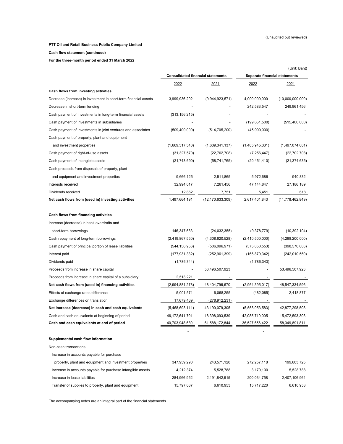(Unit: Baht)

### **PTT Oil and Retail Business Public Company Limited**

**Cash flow statement (continued)**

**For the three-month period ended 31 March 2022**

|                                                                  |                 | <b>Consolidated financial statements</b> |                 | Separate financial statements |  |  |
|------------------------------------------------------------------|-----------------|------------------------------------------|-----------------|-------------------------------|--|--|
|                                                                  | 2022            | 2021                                     | 2022            | 2021                          |  |  |
| Cash flows from investing activities                             |                 |                                          |                 |                               |  |  |
| Decrease (increase) in investment in short-term financial assets | 3,999,936,202   | (9,944,923,571)                          | 4,000,000,000   | (10,000,000,000)              |  |  |
| Decrease in short-term lending                                   |                 |                                          | 242,583,547     | 249,961,456                   |  |  |
| Cash payment of investments in long-term financial assets        | (313, 156, 215) |                                          |                 |                               |  |  |
| Cash payment of investments in subsidiaries                      |                 |                                          | (199, 651, 500) | (515, 400, 000)               |  |  |
| Cash payment of investments in joint ventures and associates     | (509, 400, 000) | (514, 705, 200)                          | (45,000,000)    |                               |  |  |
| Cash payment of property, plant and equipment                    |                 |                                          |                 |                               |  |  |
| and investment properties                                        | (1,669,317,540) | (1,639,341,137)                          | (1,405,945,331) | (1,497,074,601)               |  |  |
| Cash payment of right-of-use assets                              | (31, 327, 570)  | (22, 702, 708)                           | (7, 256, 447)   | (22, 702, 708)                |  |  |
| Cash payment of intangible assets                                | (21, 743, 690)  | (58, 741, 765)                           | (20, 451, 410)  | (21, 374, 635)                |  |  |
| Cash proceeds from disposals of property, plant                  |                 |                                          |                 |                               |  |  |
| and equipment and investment properties                          | 9,666,125       | 2,511,865                                | 5,972,686       | 940,832                       |  |  |
| Interests received                                               | 32,994,017      | 7,261,456                                | 47,144,847      | 27,186,189                    |  |  |
| Dividends received                                               | 12,862          | 7,751                                    | 5,451           | 618                           |  |  |
| Net cash flows from (used in) investing activities               | 1,497,664,191   | (12, 170, 633, 309)                      | 2,617,401,843   | (11, 778, 462, 849)           |  |  |
| Cash flows from financing activities                             |                 |                                          |                 |                               |  |  |
| Increase (decrease) in bank overdrafts and                       |                 |                                          |                 |                               |  |  |
| short-term borrowings                                            | 146,347,683     | (24, 032, 355)                           | (9,378,779)     | (10, 392, 104)                |  |  |
| Cash repayment of long-term borrowings                           | (2,419,867,550) | (4,308,620,528)                          | (2,410,500,000) | (4,298,200,000)               |  |  |
| Cash payment of principal portion of lease liabilities           | (544, 156, 956) | (506, 096, 971)                          | (375, 850, 553) | (398,570,663)                 |  |  |
| Interest paid                                                    | (177, 931, 332) | (252,961,399)                            | (166, 879, 342) | (242,010,560)                 |  |  |
| Dividends paid                                                   | (1,786,344)     |                                          | (1,786,343)     |                               |  |  |
| Proceeds from increase in share capital                          |                 | 53,496,507,923                           |                 | 53,496,507,923                |  |  |
| Proceeds from increase in share capital of a subsidiary          | 2,513,221       |                                          |                 |                               |  |  |
| Net cash flows from (used in) financing activities               | (2,994,881,278) | 48,404,796,670                           | (2,964,395,017) | 48,547,334,596                |  |  |
| Effects of exchange rates difference                             | 5,001,571       | 6,068,255                                | (482, 085)      | 2,418,877                     |  |  |
| Exchange differences on translation                              | 17,679,469      | (278,912,231)                            |                 |                               |  |  |
| Net increase (decrease) in cash and cash equivalents             | (5,468,693,111) | 43,190,079,305                           | (5,558,053,583) | 42,877,298,508                |  |  |
| Cash and cash equivalents at beginning of period                 | 46,172,641,791  | 18,398,093,539                           | 42,085,710,005  | 15,472,593,303                |  |  |
| Cash and cash equivalents at end of period                       | 40,703,948,680  | 61,588,172,844                           | 36,527,656,422  | 58,349,891,811                |  |  |
|                                                                  |                 |                                          |                 |                               |  |  |
| Supplemental cash flow information                               |                 |                                          |                 |                               |  |  |
| Non-cash transactions                                            |                 |                                          |                 |                               |  |  |
| Increase in accounts payable for purchase                        |                 |                                          |                 |                               |  |  |
| property, plant and equipment and investment properties          | 347,939,290     | 243,571,120                              | 272,257,118     | 199,603,725                   |  |  |
| Increase in accounts payable for purchase intangible assets      | 4,212,374       | 5,528,788                                | 3,170,100       | 5,528,788                     |  |  |
| Increase in lease liabilities                                    | 284,966,952     | 2,191,842,915                            | 200,034,758     | 2,407,106,964                 |  |  |
| Transfer of supplies to property, plant and equipment            | 15,797,067      | 6,610,953                                | 15,717,220      | 6,610,953                     |  |  |

The accompanying notes are an integral part of the financial statements.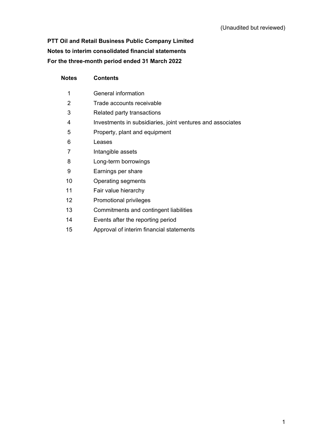# **PTT Oil and Retail Business Public Company Limited Notes to interim consolidated financial statements For the three-month period ended 31 March 2022**

| <b>Notes</b> | <b>Contents</b>                                            |
|--------------|------------------------------------------------------------|
| 1            | General information                                        |
| 2            | Trade accounts receivable                                  |
| 3            | Related party transactions                                 |
| 4            | Investments in subsidiaries, joint ventures and associates |
| 5            | Property, plant and equipment                              |
| 6            | Leases                                                     |
| 7            | Intangible assets                                          |
| 8            | Long-term borrowings                                       |
| 9            | Earnings per share                                         |
| 10           | Operating segments                                         |
| 11           | Fair value hierarchy                                       |
| 12           | Promotional privileges                                     |
| 13           | Commitments and contingent liabilities                     |
| 14           | Events after the reporting period                          |
| 15           | Approval of interim financial statements                   |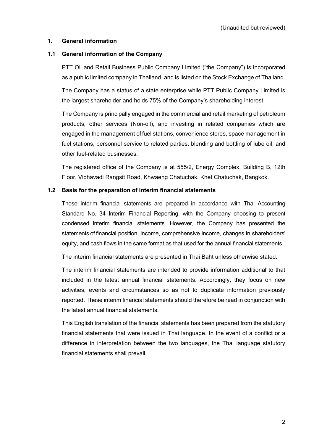## **1. General information**

## **1.1 General information of the Company**

PTT Oil and Retail Business Public Company Limited ("the Company") is incorporated as a public limited company in Thailand, and is listed on the Stock Exchange of Thailand.

The Company has a status of a state enterprise while PTT Public Company Limited is the largest shareholder and holds 75% of the Company's shareholding interest.

The Company is principally engaged in the commercial and retail marketing of petroleum products, other services (Non-oil), and investing in related companies which are engaged in the management of fuel stations, convenience stores, space management in fuel stations, personnel service to related parties, blending and bottling of lube oil, and other fuel-related businesses.

The registered office of the Company is at 555/2, Energy Complex, Building B, 12th Floor, Vibhavadi Rangsit Road, Khwaeng Chatuchak, Khet Chatuchak, Bangkok.

## **1.2 Basis for the preparation of interim financial statements**

These interim financial statements are prepared in accordance with Thai Accounting Standard No. 34 Interim Financial Reporting, with the Company choosing to present condensed interim financial statements. However, the Company has presented the statements of financial position, income, comprehensive income, changes in shareholders' equity, and cash flows in the same format as that used for the annual financial statements.

The interim financial statements are presented in Thai Baht unless otherwise stated.

The interim financial statements are intended to provide information additional to that included in the latest annual financial statements. Accordingly, they focus on new activities, events and circumstances so as not to duplicate information previously reported. These interim financial statements should therefore be read in conjunction with the latest annual financial statements.

This English translation of the financial statements has been prepared from the statutory financial statements that were issued in Thai language. In the event of a conflict or a difference in interpretation between the two languages, the Thai language statutory financial statements shall prevail.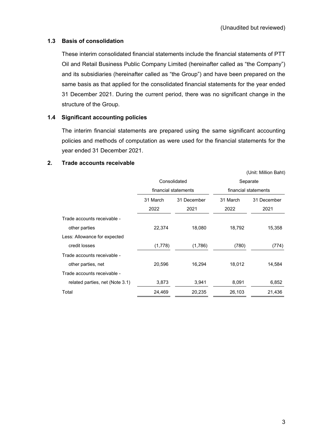(Unit: Million Baht)

# **1.3 Basis of consolidation**

These interim consolidated financial statements include the financial statements of PTT Oil and Retail Business Public Company Limited (hereinafter called as "the Company") and its subsidiaries (hereinafter called as "the Group") and have been prepared on the same basis as that applied for the consolidated financial statements for the year ended 31 December 2021. During the current period, there was no significant change in the structure of the Group.

# **1.4 Significant accounting policies**

The interim financial statements are prepared using the same significant accounting policies and methods of computation as were used for the financial statements for the year ended 31 December 2021.

## **2. Trade accounts receivable**

|          |             | Separate<br>financial statements     |             |  |  |
|----------|-------------|--------------------------------------|-------------|--|--|
|          |             |                                      |             |  |  |
| 31 March | 31 December | 31 March                             | 31 December |  |  |
| 2022     | 2021        | 2022                                 | 2021        |  |  |
|          |             |                                      |             |  |  |
| 22,374   | 18,080      | 18,792                               | 15,358      |  |  |
|          |             |                                      |             |  |  |
| (1,778)  | (1,786)     | (780)                                | (774)       |  |  |
|          |             |                                      |             |  |  |
| 20,596   | 16,294      | 18,012                               | 14,584      |  |  |
|          |             |                                      |             |  |  |
| 3,873    | 3,941       | 8,091                                | 6,852       |  |  |
| 24,469   | 20,235      | 26,103                               | 21,436      |  |  |
|          |             | Consolidated<br>financial statements |             |  |  |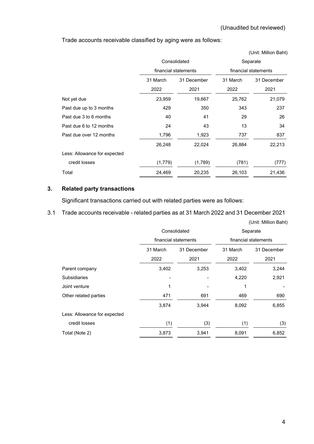Trade accounts receivable classified by aging were as follows:

|                              |          |                      |                      | (Unit: Million Baht) |  |
|------------------------------|----------|----------------------|----------------------|----------------------|--|
|                              |          | Consolidated         | Separate             |                      |  |
|                              |          | financial statements | financial statements |                      |  |
|                              | 31 March | 31 December          | 31 March             | 31 December          |  |
|                              | 2022     | 2021                 | 2022                 | 2021                 |  |
| Not yet due                  | 23,959   | 19,667               | 25,762               | 21,079               |  |
| Past due up to 3 months      | 429      | 350                  | 343                  | 237                  |  |
| Past due 3 to 6 months       | 40       | 41                   | 29                   | 26                   |  |
| Past due 6 to 12 months      | 24       | 43                   | 13                   | 34                   |  |
| Past due over 12 months      | 1,796    | 1,923                | 737                  | 837                  |  |
|                              | 26,248   | 22,024               | 26,884               | 22,213               |  |
| Less: Allowance for expected |          |                      |                      |                      |  |
| credit losses                | (1,779)  | (1,789)              | (781)                | (777)                |  |
| Total                        | 24,469   | 20,235               | 26,103               | 21,436               |  |

# **3. Related party transactions**

Significant transactions carried out with related parties were as follows:

3.1 Trade accounts receivable - related parties as at 31 March 2022 and 31 December 2021

|                              |                  | Consolidated         | Separate<br>financial statements |                     |  |  |
|------------------------------|------------------|----------------------|----------------------------------|---------------------|--|--|
|                              |                  | financial statements |                                  |                     |  |  |
|                              | 31 March<br>2022 | 31 December<br>2021  | 31 March<br>2022                 | 31 December<br>2021 |  |  |
| Parent company               | 3,402            | 3,253                | 3,402                            | 3,244               |  |  |
| Subsidiaries                 |                  |                      | 4,220                            | 2,921               |  |  |
| Joint venture                | 1                |                      | 1                                |                     |  |  |
| Other related parties        | 471              | 691                  | 469                              | 690                 |  |  |
|                              | 3,874            | 3,944                | 8,092                            | 6,855               |  |  |
| Less: Allowance for expected |                  |                      |                                  |                     |  |  |
| credit losses                | (1)              | (3)                  | (1)                              | (3)                 |  |  |
| Total (Note 2)               | 3,873            | 3,941                | 8,091                            | 6,852               |  |  |

(Unit: Million Baht)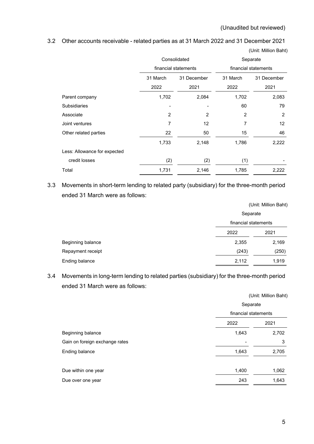(Unit: Million Baht)

## 3.2 Other accounts receivable - related parties as at 31 March 2022 and 31 December 2021

|                              |                      | Consolidated   | Separate             |                |
|------------------------------|----------------------|----------------|----------------------|----------------|
|                              | financial statements |                | financial statements |                |
|                              | 31 March             | 31 December    | 31 March             | 31 December    |
|                              | 2022                 | 2021           | 2022                 | 2021           |
| Parent company               | 1,702                | 2,084          | 1,702                | 2,083          |
| <b>Subsidiaries</b>          |                      |                | 60                   | 79             |
| Associate                    | 2                    | $\overline{2}$ | 2                    | $\overline{2}$ |
| Joint ventures               | 7                    | 12             | 7                    | 12             |
| Other related parties        | 22                   | 50             | 15                   | 46             |
|                              | 1,733                | 2,148          | 1,786                | 2,222          |
| Less: Allowance for expected |                      |                |                      |                |
| credit losses                | (2)                  | (2)            | (1)                  |                |
| Total                        | 1,731                | 2,146          | 1,785                | 2,222          |

3.3 Movements in short-term lending to related party (subsidiary) for the three-month period

ended 31 March were as follows:

|                   |                      | (Unit: Million Baht) |
|-------------------|----------------------|----------------------|
|                   | Separate             |                      |
|                   | financial statements |                      |
|                   | 2022                 | 2021                 |
| Beginning balance | 2,355                | 2,169                |
| Repayment receipt | (243)                | (250)                |
| Ending balance    | 2,112                | 1,919                |

# 3.4 Movements in long-term lending to related parties (subsidiary) for the three-month period ended 31 March were as follows:

|                                |                      | (Unit: Million Baht) |
|--------------------------------|----------------------|----------------------|
|                                | Separate             |                      |
|                                | financial statements |                      |
|                                | 2022                 | 2021                 |
| Beginning balance              | 1,643                | 2,702                |
| Gain on foreign exchange rates |                      | 3                    |
| Ending balance                 | 1,643                | 2,705                |
|                                |                      |                      |
| Due within one year            | 1,400                | 1,062                |
| Due over one year              | 243                  | 1,643                |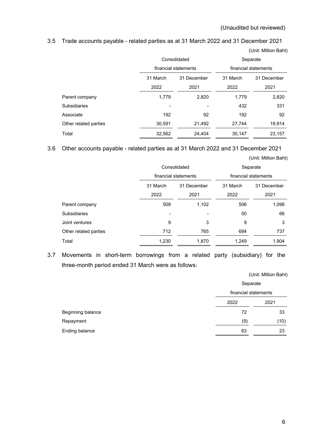(Unit: Million Baht)

(Unit: Million Baht)

3.5 Trade accounts payable - related parties as at 31 March 2022 and 31 December 2021

|                       |          | Consolidated         |          | Separate             |  |
|-----------------------|----------|----------------------|----------|----------------------|--|
|                       |          | financial statements |          | financial statements |  |
|                       | 31 March | 31 December          | 31 March | 31 December          |  |
|                       | 2022     | 2021                 | 2022     | 2021                 |  |
| Parent company        | 1,779    | 2,820                | 1,779    | 2,820                |  |
| <b>Subsidiaries</b>   |          |                      | 432      | 331                  |  |
| Associate             | 192      | 92                   | 192      | 92                   |  |
| Other related parties | 30,591   | 21,492               | 27,744   | 19,914               |  |
| Total                 | 32,562   | 24.404               | 30,147   | 23.157               |  |

3.6 Other accounts payable - related parties as at 31 March 2022 and 31 December 2021

|                       |                      | Consolidated |                      | Separate    |
|-----------------------|----------------------|--------------|----------------------|-------------|
|                       | financial statements |              | financial statements |             |
|                       | 31 March             | 31 December  | 31 March             | 31 December |
|                       | 2022                 | 2021         | 2022                 | 2021        |
| Parent company        | 509                  | 1,102        | 506                  | 1,098       |
| <b>Subsidiaries</b>   |                      |              | 50                   | 66          |
| Joint ventures        | 9                    | 3            | 9                    | 3           |
| Other related parties | 712                  | 765          | 684                  | 737         |
| Total                 | 1,230                | 1,870        | 1,249                | 1,904       |

3.7 Movements in short-term borrowings from a related party (subsidiary) for the three-month period ended 31 March were as follows:

(Unit: Million Baht)

|                   | Separate<br>financial statements |      |
|-------------------|----------------------------------|------|
|                   |                                  |      |
|                   | 2022                             | 2021 |
| Beginning balance | 72                               | 33   |
| Repayment         | (9)                              | (10) |
| Ending balance    | 63                               | 23   |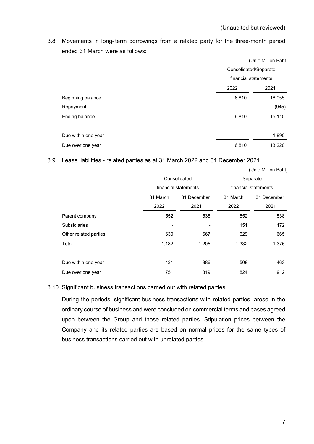3.8 Movements in long-term borrowings from a related party for the three-month period ended 31 March were as follows:

|                     |                       | (Unit: Million Baht) |
|---------------------|-----------------------|----------------------|
|                     | Consolidated/Separate |                      |
|                     | financial statements  |                      |
|                     | 2022                  | 2021                 |
| Beginning balance   | 6,810                 | 16,055               |
| Repayment           |                       | (945)                |
| Ending balance      | 6,810                 | 15,110               |
|                     |                       |                      |
| Due within one year |                       | 1,890                |
| Due over one year   | 6,810                 | 13,220               |

3.9 Lease liabilities - related parties as at 31 March 2022 and 31 December 2021

| (Unit: Million Baht) |
|----------------------|
|----------------------|

|                       |          | Consolidated         |          | Separate             |
|-----------------------|----------|----------------------|----------|----------------------|
|                       |          | financial statements |          | financial statements |
|                       | 31 March | 31 December          | 31 March | 31 December          |
|                       | 2022     | 2021                 | 2022     | 2021                 |
| Parent company        | 552      | 538                  | 552      | 538                  |
| <b>Subsidiaries</b>   |          |                      | 151      | 172                  |
| Other related parties | 630      | 667                  | 629      | 665                  |
| Total                 | 1,182    | 1,205                | 1,332    | 1,375                |
|                       |          |                      |          |                      |
| Due within one year   | 431      | 386                  | 508      | 463                  |
| Due over one year     | 751      | 819                  | 824      | 912                  |

### 3.10 Significant business transactions carried out with related parties

During the periods, significant business transactions with related parties, arose in the ordinary course of business and were concluded on commercial terms and bases agreed upon between the Group and those related parties. Stipulation prices between the Company and its related parties are based on normal prices for the same types of business transactions carried out with unrelated parties.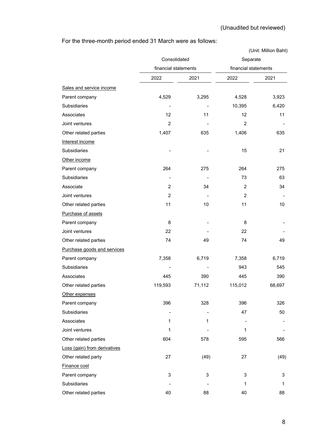# For the three-month period ended 31 March were as follows:

|                              |                      |        |                      | (Unit: Million Baht) |
|------------------------------|----------------------|--------|----------------------|----------------------|
|                              | Consolidated         |        | Separate             |                      |
|                              | financial statements |        | financial statements |                      |
|                              | 2022                 | 2021   | 2022                 | 2021                 |
| Sales and service income     |                      |        |                      |                      |
| Parent company               | 4,529                | 3,295  | 4,528                | 3,923                |
| Subsidiaries                 |                      |        | 10,395               | 6,420                |
| Associates                   | 12                   | 11     | 12                   | 11                   |
| Joint ventures               | $\overline{c}$       |        | $\overline{2}$       |                      |
| Other related parties        | 1,407                | 635    | 1,406                | 635                  |
| Interest income              |                      |        |                      |                      |
| Subsidiaries                 |                      |        | 15                   | 21                   |
| Other income                 |                      |        |                      |                      |
| Parent company               | 264                  | 275    | 264                  | 275                  |
| Subsidiaries                 |                      |        | 73                   | 63                   |
| Associate                    | 2                    | 34     | $\overline{c}$       | 34                   |
| Joint ventures               | 2                    |        | 2                    |                      |
| Other related parties        | 11                   | 10     | 11                   | 10                   |
| Purchase of assets           |                      |        |                      |                      |
| Parent company               | 8                    |        | 8                    |                      |
| Joint ventures               | 22                   |        | 22                   |                      |
| Other related parties        | 74                   | 49     | 74                   | 49                   |
| Purchase goods and services  |                      |        |                      |                      |
| Parent company               | 7,358                | 6,719  | 7,358                | 6,719                |
| Subsidiaries                 |                      |        | 943                  | 545                  |
| Associates                   | 445                  | 390    | 445                  | 390                  |
| Other related parties        | 119,593              | 71,112 | 115,012              | 68,697               |
| Other expenses               |                      |        |                      |                      |
| Parent company               | 396                  | 328    | 396                  | 326                  |
| Subsidiaries                 |                      |        | 47                   | 50                   |
| Associates                   | 1                    | 1      |                      |                      |
| Joint ventures               | 1                    |        | 1                    |                      |
| Other related parties        | 604                  | 578    | 595                  | 566                  |
| Loss (gain) from derivatives |                      |        |                      |                      |
| Other related party          | 27                   | (49)   | 27                   | (49)                 |
| Finance cost                 |                      |        |                      |                      |
| Parent company               | 3                    | 3      | 3                    | 3                    |
| Subsidiaries                 |                      |        | 1                    | 1                    |
| Other related parties        | 40                   | 88     | 40                   | 88                   |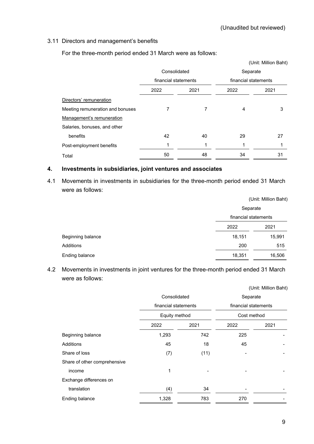## 3.11 Directors and management's benefits

For the three-month period ended 31 March were as follows:

|                                  |                      |      |                      | (Unit: Million Baht) |
|----------------------------------|----------------------|------|----------------------|----------------------|
|                                  | Consolidated         |      | Separate             |                      |
|                                  | financial statements |      | financial statements |                      |
|                                  | 2022                 | 2021 | 2022                 | 2021                 |
| Directors' remuneration          |                      |      |                      |                      |
| Meeting remuneration and bonuses | 7                    | 7    | 4                    | 3                    |
| Management's remuneration        |                      |      |                      |                      |
| Salaries, bonuses, and other     |                      |      |                      |                      |
| benefits                         | 42                   | 40   | 29                   | 27                   |
| Post-employment benefits         | 1                    | 1    | 1                    |                      |
| Total                            | 50                   | 48   | 34                   | 31                   |

### **4. Investments in subsidiaries, joint ventures and associates**

4.1 Movements in investments in subsidiaries for the three-month period ended 31 March were as follows:

|                   |                      | (Unit: Million Baht) |
|-------------------|----------------------|----------------------|
|                   | Separate             |                      |
|                   | financial statements |                      |
|                   | 2022                 | 2021                 |
| Beginning balance | 18,151               | 15,991               |
| Additions         | 200                  | 515                  |
| Ending balance    | 18,351               | 16,506               |

4.2 Movements in investments in joint ventures for the three-month period ended 31 March were as follows:

|                              | Consolidated         |      | Separate             |      |  |
|------------------------------|----------------------|------|----------------------|------|--|
|                              | financial statements |      | financial statements |      |  |
|                              | Equity method        |      | Cost method          |      |  |
|                              | 2022                 | 2021 | 2022                 | 2021 |  |
| Beginning balance            | 1,293                | 742  | 225                  |      |  |
| Additions                    | 45                   | 18   | 45                   |      |  |
| Share of loss                | (7)                  | (11) |                      |      |  |
| Share of other comprehensive |                      |      |                      |      |  |
| income                       | 1                    |      |                      |      |  |
| Exchange differences on      |                      |      |                      |      |  |
| translation                  | (4)                  | 34   |                      |      |  |
| Ending balance               | 1,328                | 783  | 270                  |      |  |
|                              |                      |      |                      |      |  |

(Unit: Million Baht)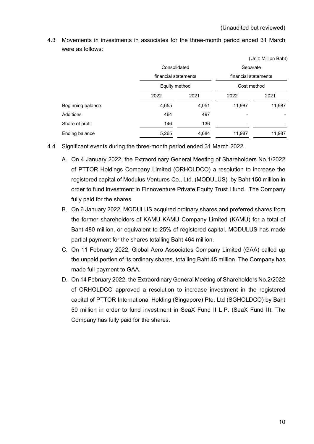|                   |                      |       |                                                 | (Unit: Million Baht) |  |
|-------------------|----------------------|-------|-------------------------------------------------|----------------------|--|
|                   | Consolidated         |       | Separate<br>financial statements<br>Cost method |                      |  |
|                   | financial statements |       |                                                 |                      |  |
|                   | Equity method        |       |                                                 |                      |  |
|                   | 2022                 | 2021  | 2022                                            | 2021                 |  |
| Beginning balance | 4,655                | 4,051 | 11,987                                          | 11,987               |  |
| Additions         | 464                  | 497   |                                                 |                      |  |
| Share of profit   | 146                  | 136   |                                                 |                      |  |
| Ending balance    | 5,265                | 4,684 | 11,987                                          | 11,987               |  |

4.3 Movements in investments in associates for the three-month period ended 31 March were as follows:

- 4.4 Significant events during the three-month period ended 31 March 2022.
	- A. On 4 January 2022, the Extraordinary General Meeting of Shareholders No.1/2022 of PTTOR Holdings Company Limited (ORHOLDCO) a resolution to increase the registered capital of Modulus Ventures Co., Ltd. (MODULUS) by Baht 150 million in order to fund investment in Finnoventure Private Equity Trust I fund. The Company fully paid for the shares.
	- B. On 6 January 2022, MODULUS acquired ordinary shares and preferred shares from the former shareholders of KAMU KAMU Company Limited (KAMU) for a total of Baht 480 million, or equivalent to 25% of registered capital. MODULUS has made partial payment for the shares totalling Baht 464 million.
	- C. On 11 February 2022, Global Aero Associates Company Limited (GAA) called up the unpaid portion of its ordinary shares, totalling Baht 45 million. The Company has made full payment to GAA.
	- D. On 14 February 2022, the Extraordinary General Meeting of Shareholders No.2/2022 of ORHOLDCO approved a resolution to increase investment in the registered capital of PTTOR International Holding (Singapore) Pte. Ltd (SGHOLDCO) by Baht 50 million in order to fund investment in SeaX Fund II L.P. (SeaX Fund II). The Company has fully paid for the shares.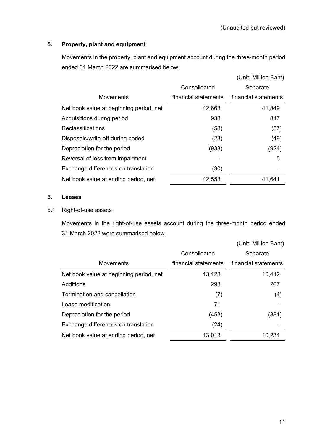# **5. Property, plant and equipment**

Movements in the property, plant and equipment account during the three-month period ended 31 March 2022 are summarised below.

|                                         |                      | (Unit: Million Baht) |
|-----------------------------------------|----------------------|----------------------|
|                                         | Consolidated         | Separate             |
| <b>Movements</b>                        | financial statements | financial statements |
| Net book value at beginning period, net | 42,663               | 41,849               |
| Acquisitions during period              | 938                  | 817                  |
| Reclassifications                       | (58)                 | (57)                 |
| Disposals/write-off during period       | (28)                 | (49)                 |
| Depreciation for the period             | (933)                | (924)                |
| Reversal of loss from impairment        | 1                    | 5                    |
| Exchange differences on translation     | (30)                 |                      |
| Net book value at ending period, net    | 42,553               | 41,641               |

## **6. Leases**

# 6.1 Right-of-use assets

Movements in the right-of-use assets account during the three-month period ended 31 March 2022 were summarised below.

|                      | (Unit: Million Baht) |
|----------------------|----------------------|
| Consolidated         | Separate             |
| financial statements | financial statements |
| 13,128               | 10,412               |
| 298                  | 207                  |
| (7)                  | (4)                  |
| 71                   |                      |
| (453)                | (381)                |
| (24)                 |                      |
| 13,013               | 10,234               |
|                      |                      |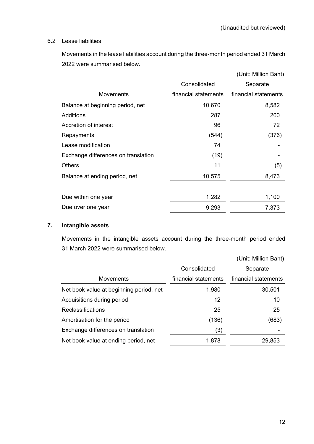## 6.2 Lease liabilities

Movements in the lease liabilities account during the three-month period ended 31 March 2022 were summarised below.

|                                     |                      | (Unit: Million Baht) |
|-------------------------------------|----------------------|----------------------|
|                                     | Consolidated         | Separate             |
| <b>Movements</b>                    | financial statements | financial statements |
| Balance at beginning period, net    | 10,670               | 8,582                |
| Additions                           | 287                  | 200                  |
| Accretion of interest               | 96                   | 72                   |
| Repayments                          | (544)                | (376)                |
| Lease modification                  | 74                   |                      |
| Exchange differences on translation | (19)                 |                      |
| <b>Others</b>                       | 11                   | (5)                  |
| Balance at ending period, net       | 10,575               | 8,473                |
|                                     |                      |                      |
| Due within one year                 | 1,282                | 1,100                |
| Due over one year                   | 9,293                | 7,373                |

# **7. Intangible assets**

Movements in the intangible assets account during the three-month period ended 31 March 2022 were summarised below.

|                                         |                      | (Unit: Million Baht) |
|-----------------------------------------|----------------------|----------------------|
|                                         | Consolidated         | Separate             |
| <b>Movements</b>                        | financial statements | financial statements |
| Net book value at beginning period, net | 1,980                | 30,501               |
| Acquisitions during period              | 12                   | 10                   |
| Reclassifications                       | 25                   | 25                   |
| Amortisation for the period             | (136)                | (683)                |
| Exchange differences on translation     | (3)                  |                      |
| Net book value at ending period, net    | 1,878                | 29,853               |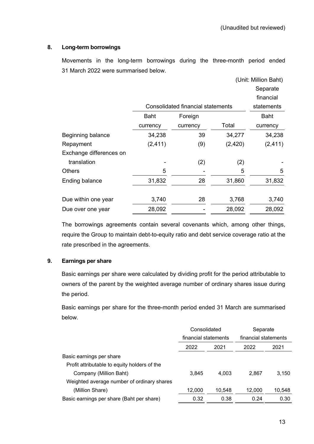# **8. Long-term borrowings**

Movements in the long-term borrowings during the three-month period ended 31 March 2022 were summarised below.

|                         |          |                                   | (Unit: Million Baht) |            |
|-------------------------|----------|-----------------------------------|----------------------|------------|
|                         |          |                                   |                      | Separate   |
|                         |          |                                   |                      | financial  |
|                         |          | Consolidated financial statements |                      | statements |
|                         | Baht     | Foreign                           |                      | Baht       |
|                         | currency | currency                          | Total                | currency   |
| Beginning balance       | 34,238   | 39                                | 34,277               | 34,238     |
| Repayment               | (2, 411) | (9)                               | (2, 420)             | (2, 411)   |
| Exchange differences on |          |                                   |                      |            |
| translation             |          | (2)                               | (2)                  |            |
| <b>Others</b>           | 5        |                                   | 5                    | 5          |
| <b>Ending balance</b>   | 31,832   | 28                                | 31,860               | 31,832     |
|                         |          |                                   |                      |            |
| Due within one year     | 3,740    | 28                                | 3,768                | 3,740      |
| Due over one year       | 28,092   |                                   | 28,092               | 28,092     |

The borrowings agreements contain several covenants which, among other things, require the Group to maintain debt-to-equity ratio and debt service coverage ratio at the rate prescribed in the agreements.

# **9. Earnings per share**

Basic earnings per share were calculated by dividing profit for the period attributable to owners of the parent by the weighted average number of ordinary shares issue during the period.

Basic earnings per share for the three-month period ended 31 March are summarised below.

|                                              | Consolidated         |        | Separate             |        |
|----------------------------------------------|----------------------|--------|----------------------|--------|
|                                              | financial statements |        | financial statements |        |
|                                              | 2022                 | 2021   | 2022                 | 2021   |
| Basic earnings per share                     |                      |        |                      |        |
| Profit attributable to equity holders of the |                      |        |                      |        |
| Company (Million Baht)                       | 3,845                | 4.003  | 2.867                | 3,150  |
| Weighted average number of ordinary shares   |                      |        |                      |        |
| (Million Share)                              | 12,000               | 10,548 | 12,000               | 10,548 |
| Basic earnings per share (Baht per share)    | 0.32                 | 0.38   | 0.24                 | 0.30   |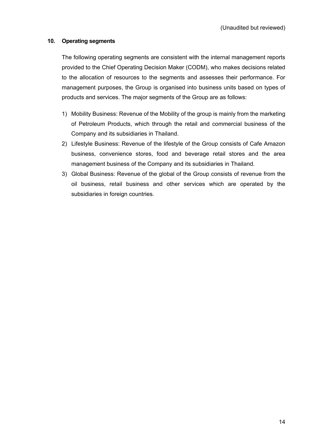# **10. Operating segments**

The following operating segments are consistent with the internal management reports provided to the Chief Operating Decision Maker (CODM), who makes decisions related to the allocation of resources to the segments and assesses their performance. For management purposes, the Group is organised into business units based on types of products and services. The major segments of the Group are as follows:

- 1) Mobility Business: Revenue of the Mobility of the group is mainly from the marketing of Petroleum Products, which through the retail and commercial business of the Company and its subsidiaries in Thailand.
- 2) Lifestyle Business: Revenue of the lifestyle of the Group consists of Cafe Amazon business, convenience stores, food and beverage retail stores and the area management business of the Company and its subsidiaries in Thailand.
- 3) Global Business: Revenue of the global of the Group consists of revenue from the oil business, retail business and other services which are operated by the subsidiaries in foreign countries.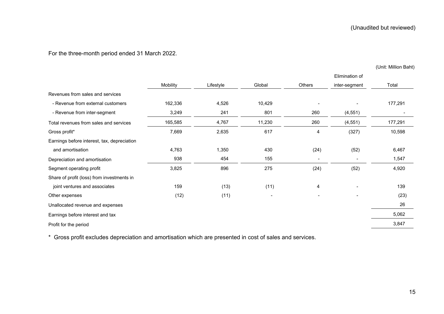# For the three-month period ended 31 March 2022.

(Unit: Million Baht)

|                                             | Mobility | Lifestyle | Global | Others                   | inter-segment | Total   |
|---------------------------------------------|----------|-----------|--------|--------------------------|---------------|---------|
| Revenues from sales and services            |          |           |        |                          |               |         |
| - Revenue from external customers           | 162,336  | 4,526     | 10,429 |                          |               | 177,291 |
| - Revenue from inter-segment                | 3,249    | 241       | 801    | 260                      | (4, 551)      |         |
| Total revenues from sales and services      | 165,585  | 4,767     | 11,230 | 260                      | (4, 551)      | 177,291 |
| Gross profit*                               | 7,669    | 2,635     | 617    | 4                        | (327)         | 10,598  |
| Earnings before interest, tax, depreciation |          |           |        |                          |               |         |
| and amortisation                            | 4,763    | 1,350     | 430    | (24)                     | (52)          | 6,467   |
| Depreciation and amortisation               | 938      | 454       | 155    | $\overline{\phantom{a}}$ |               | 1,547   |
| Segment operating profit                    | 3,825    | 896       | 275    | (24)                     | (52)          | 4,920   |
| Share of profit (loss) from investments in  |          |           |        |                          |               |         |
| joint ventures and associates               | 159      | (13)      | (11)   | 4                        |               | 139     |
| Other expenses                              | (12)     | (11)      |        |                          |               | (23)    |
| Unallocated revenue and expenses            |          |           |        |                          |               | 26      |
| Earnings before interest and tax            |          |           |        |                          |               | 5,062   |
| Profit for the period                       |          |           |        |                          |               | 3,847   |
|                                             |          |           |        |                          |               |         |

\* Gross profit excludes depreciation and amortisation which are presented in cost of sales and services.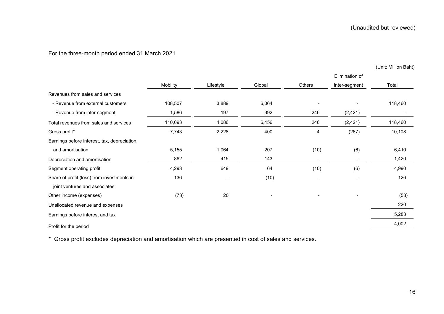For the three-month period ended 31 March 2021.

(Unit: Million Baht)

|                                              |          |                          |        |                          | Elimination of |         |
|----------------------------------------------|----------|--------------------------|--------|--------------------------|----------------|---------|
|                                              | Mobility | Lifestyle                | Global | Others                   | inter-segment  | Total   |
| Revenues from sales and services             |          |                          |        |                          |                |         |
| - Revenue from external customers            | 108,507  | 3,889                    | 6,064  |                          |                | 118,460 |
| - Revenue from inter-segment                 | 1,586    | 197                      | 392    | 246                      | (2, 421)       |         |
| Total revenues from sales and services       | 110,093  | 4,086                    | 6,456  | 246                      | (2, 421)       | 118,460 |
| Gross profit*                                | 7,743    | 2,228                    | 400    | 4                        | (267)          | 10,108  |
| Earnings before interest, tax, depreciation, |          |                          |        |                          |                |         |
| and amortisation                             | 5,155    | 1,064                    | 207    | (10)                     | (6)            | 6,410   |
| Depreciation and amortisation                | 862      | 415                      | 143    | $\overline{\phantom{a}}$ |                | 1,420   |
| Segment operating profit                     | 4,293    | 649                      | 64     | (10)                     | (6)            | 4,990   |
| Share of profit (loss) from investments in   | 136      | $\overline{\phantom{a}}$ | (10)   | $\overline{\phantom{a}}$ |                | 126     |
| joint ventures and associates                |          |                          |        |                          |                |         |
| Other income (expenses)                      | (73)     | 20                       |        |                          |                | (53)    |
| Unallocated revenue and expenses             |          |                          |        |                          |                | 220     |
| Earnings before interest and tax             |          |                          |        |                          |                | 5,283   |
| Profit for the period                        |          |                          |        |                          |                | 4,002   |

\* Gross profit excludes depreciation and amortisation which are presented in cost of sales and services.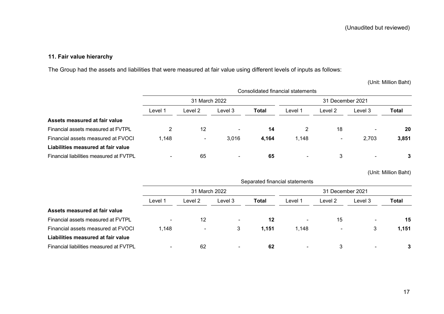# **11. Fair value hierarchy**

The Group had the assets and liabilities that were measured at fair value using different levels of inputs as follows:

(Unit: Million Baht)

|                                         |                          | Consolidated financial statements |                          |                  |                          |         |                |       |  |
|-----------------------------------------|--------------------------|-----------------------------------|--------------------------|------------------|--------------------------|---------|----------------|-------|--|
|                                         | 31 March 2022            |                                   |                          | 31 December 2021 |                          |         |                |       |  |
|                                         | Level 1                  | Level 2                           | Level 3                  | <b>Total</b>     | Level 1                  | Level 2 | Level 3        | Total |  |
| Assets measured at fair value           |                          |                                   |                          |                  |                          |         |                |       |  |
| Financial assets measured at FVTPL      |                          | 12                                | $\overline{\phantom{0}}$ | 14               |                          | 18      |                | 20    |  |
| Financial assets measured at FVOCI      | 1,148                    | $\blacksquare$                    | 3,016                    | 4,164            | 1,148                    | ۰.      | 2,703          | 3,851 |  |
| Liabilities measured at fair value      |                          |                                   |                          |                  |                          |         |                |       |  |
| Financial liabilities measured at FVTPL | $\overline{\phantom{0}}$ | 65                                | $\blacksquare$           | 65               | $\overline{\phantom{a}}$ | 3       | $\blacksquare$ | 3     |  |

(Unit: Million Baht)

|                                         | Separated financial statements |                |         |                  |                |                          |         |       |
|-----------------------------------------|--------------------------------|----------------|---------|------------------|----------------|--------------------------|---------|-------|
|                                         | 31 March 2022                  |                |         | 31 December 2021 |                |                          |         |       |
|                                         | Level 1                        | Level 2        | Level 3 | Total            | Level 1        | Level 2                  | Level 3 | Total |
| Assets measured at fair value           |                                |                |         |                  |                |                          |         |       |
| Financial assets measured at FVTPL      | $\blacksquare$                 | 12             | $\sim$  | 12               | $\blacksquare$ | 15                       | -       | 15    |
| Financial assets measured at FVOCI      | 1,148                          | $\blacksquare$ | 3       | 1,151            | 1.148          | $\overline{\phantom{0}}$ | 3       | 1,151 |
| Liabilities measured at fair value      |                                |                |         |                  |                |                          |         |       |
| Financial liabilities measured at FVTPL |                                | 62             | ۰       | 62               | $\blacksquare$ | 3                        |         | 3     |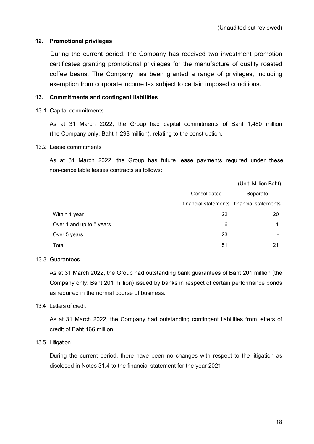## **12. Promotional privileges**

During the current period, the Company has received two investment promotion certificates granting promotional privileges for the manufacture of quality roasted coffee beans. The Company has been granted a range of privileges, including exemption from corporate income tax subject to certain imposed conditions**.**

## **13. Commitments and contingent liabilities**

## 13.1 Capital commitments

As at 31 March 2022, the Group had capital commitments of Baht 1,480 million (the Company only: Baht 1,298 million), relating to the construction.

### 13.2 Lease commitments

As at 31 March 2022, the Group has future lease payments required under these non-cancellable leases contracts as follows:

|                          |              | (Unit: Million Baht)                      |
|--------------------------|--------------|-------------------------------------------|
|                          | Consolidated | Separate                                  |
|                          |              | financial statements financial statements |
| Within 1 year            | 22           | 20                                        |
| Over 1 and up to 5 years | 6            |                                           |
| Over 5 years             | 23           | $\blacksquare$                            |
| Total                    | 51           | 21                                        |

### 13.3 Guarantees

As at 31 March 2022, the Group had outstanding bank guarantees of Baht 201 million (the Company only: Baht 201 million) issued by banks in respect of certain performance bonds as required in the normal course of business.

### 13.4 Letters of credit

As at 31 March 2022, the Company had outstanding contingent liabilities from letters of credit of Baht 166 million.

# 13.5 Litigation

During the current period, there have been no changes with respect to the litigation as disclosed in Notes 31.4 to the financial statement for the year 2021.